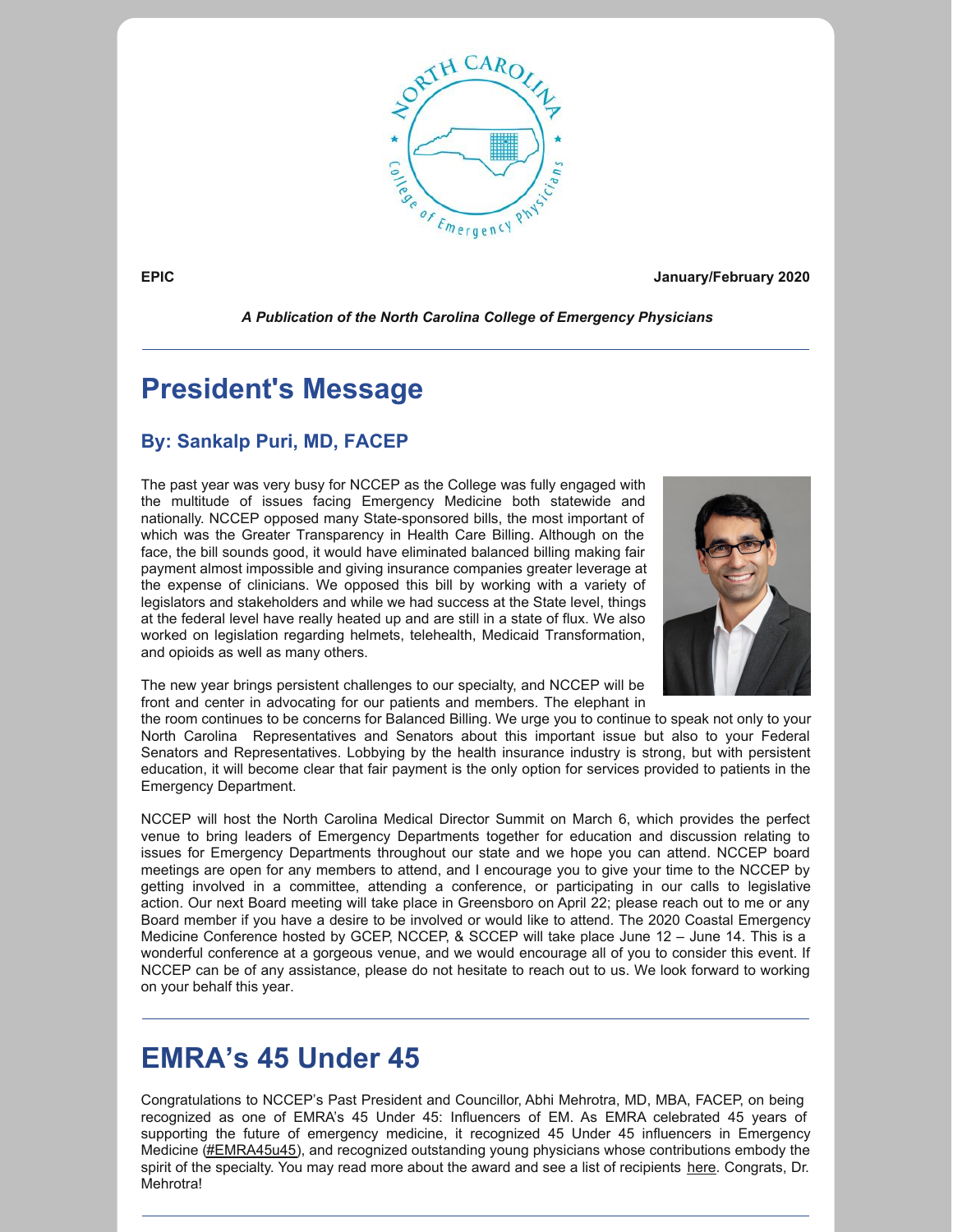

**EPIC January/February 2020**

*A Publication of the North Carolina College of Emergency Physicians*

# **President's Message**

#### **By: Sankalp Puri, MD, FACEP**

The past year was very busy for NCCEP as the College was fully engaged with the multitude of issues facing Emergency Medicine both statewide and nationally. NCCEP opposed many State-sponsored bills, the most important of which was the Greater Transparency in Health Care Billing. Although on the face, the bill sounds good, it would have eliminated balanced billing making fair payment almost impossible and giving insurance companies greater leverage at the expense of clinicians. We opposed this bill by working with a variety of legislators and stakeholders and while we had success at the State level, things at the federal level have really heated up and are still in a state of flux. We also worked on legislation regarding helmets, telehealth, Medicaid Transformation, and opioids as well as many others.



The new year brings persistent challenges to our specialty, and NCCEP will be front and center in advocating for our patients and members. The elephant in

the room continues to be concerns for Balanced Billing. We urge you to continue to speak not only to your North Carolina Representatives and Senators about this important issue but also to your Federal Senators and Representatives. Lobbying by the health insurance industry is strong, but with persistent education, it will become clear that fair payment is the only option for services provided to patients in the Emergency Department.

NCCEP will host the North Carolina Medical Director Summit on March 6, which provides the perfect venue to bring leaders of Emergency Departments together for education and discussion relating to issues for Emergency Departments throughout our state and we hope you can attend. NCCEP board meetings are open for any members to attend, and I encourage you to give your time to the NCCEP by getting involved in a committee, attending a conference, or participating in our calls to legislative action. Our next Board meeting will take place in Greensboro on April 22; please reach out to me or any Board member if you have a desire to be involved or would like to attend. The 2020 Coastal Emergency Medicine Conference hosted by GCEP, NCCEP, & SCCEP will take place June 12 – June 14. This is a wonderful conference at a gorgeous venue, and we would encourage all of you to consider this event. If NCCEP can be of any assistance, please do not hesitate to reach out to us. We look forward to working on your behalf this year.

# **EMRA's 45 Under 45**

Congratulations to NCCEP's Past President and Councillor, Abhi Mehrotra, MD, MBA, FACEP, on being recognized as one of EMRA's 45 Under 45: Influencers of EM. As EMRA celebrated 45 years of supporting the future of emergency medicine, it recognized 45 Under 45 influencers in Emergency Medicine [\(#EMRA45u45](https://twitter.com/intent/tweet?url=https://www.emra.org/be-involved/awards/45under45;text=A+GREAT+BIG+CONGRATULATIONS+to+the+EMRA+45+Under+45+recipients!+&hashtags=EMRA45u45)), and recognized outstanding young physicians whose contributions embody the spirit of the specialty. You may read more about the award and see a list of recipients [here](https://www.emra.org/be-involved/awards/45under45/2019/.). Congrats, Dr. Mehrotra!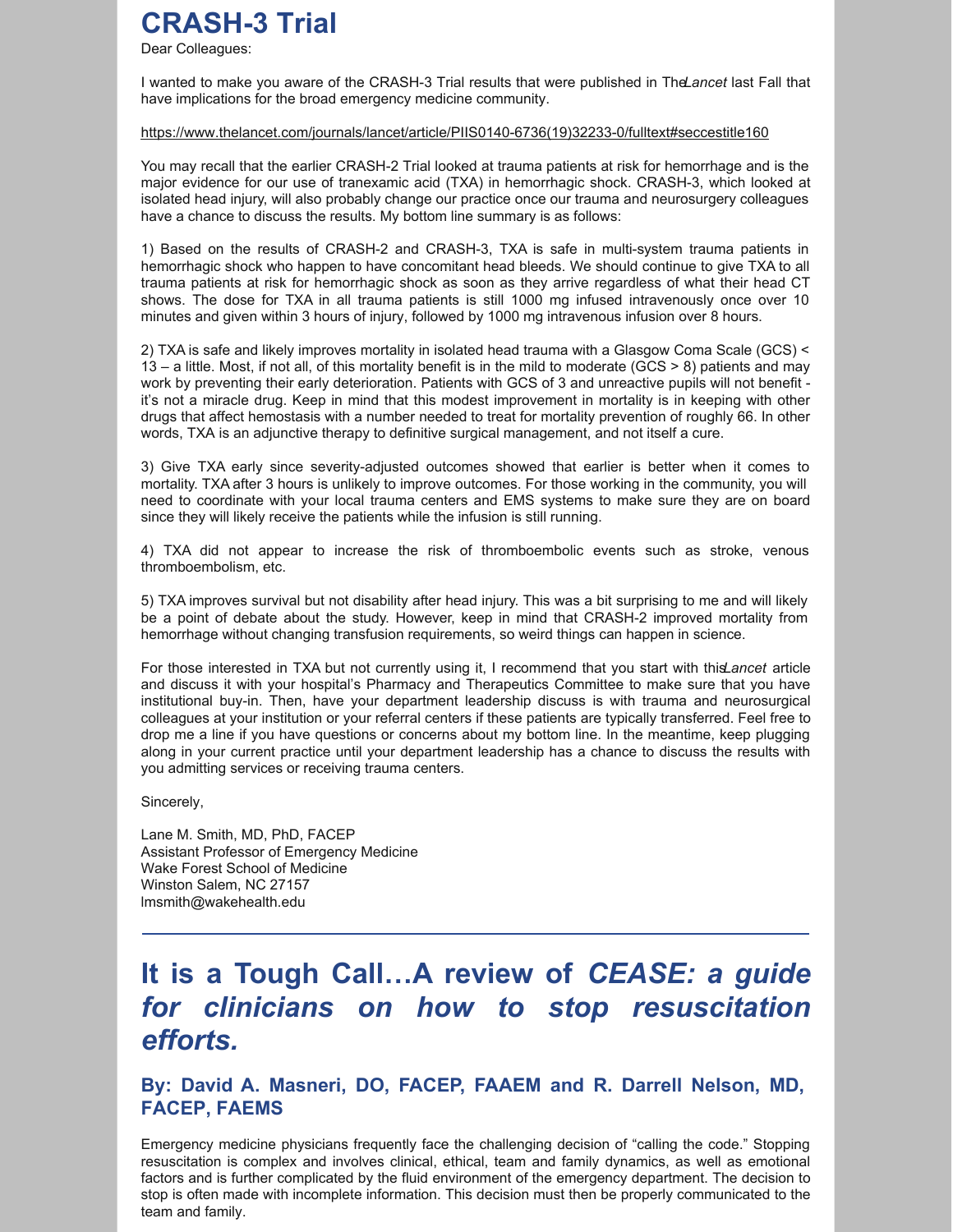# **CRASH-3 Trial**

Dear Colleagues:

I wanted to make you aware of the CRASH-3 Trial results that were published in The*Lancet* last Fall that have implications for the broad emergency medicine community.

#### [https://www.thelancet.com/journals/lancet/article/PIIS0140-6736\(19\)32233-0/fulltext#seccestitle160](https://www.thelancet.com/journals/lancet/article/PIIS0140-6736(19)32233-0/fulltext#seccestitle160)

You may recall that the earlier CRASH-2 Trial looked at trauma patients at risk for hemorrhage and is the major evidence for our use of tranexamic acid (TXA) in hemorrhagic shock. CRASH-3, which looked at isolated head injury, will also probably change our practice once our trauma and neurosurgery colleagues have a chance to discuss the results. My bottom line summary is as follows:

1) Based on the results of CRASH-2 and CRASH-3, TXA is safe in multi-system trauma patients in hemorrhagic shock who happen to have concomitant head bleeds. We should continue to give TXA to all trauma patients at risk for hemorrhagic shock as soon as they arrive regardless of what their head CT shows. The dose for TXA in all trauma patients is still 1000 mg infused intravenously once over 10 minutes and given within 3 hours of injury, followed by 1000 mg intravenous infusion over 8 hours.

2) TXA is safe and likely improves mortality in isolated head trauma with a Glasgow Coma Scale (GCS) < 13 – a little. Most, if not all, of this mortality benefit is in the mild to moderate (GCS > 8) patients and may work by preventing their early deterioration. Patients with GCS of 3 and unreactive pupils will not benefit it's not a miracle drug. Keep in mind that this modest improvement in mortality is in keeping with other drugs that affect hemostasis with a number needed to treat for mortality prevention of roughly 66. In other words, TXA is an adjunctive therapy to definitive surgical management, and not itself a cure.

3) Give TXA early since severity-adjusted outcomes showed that earlier is better when it comes to mortality. TXA after 3 hours is unlikely to improve outcomes. For those working in the community, you will need to coordinate with your local trauma centers and EMS systems to make sure they are on board since they will likely receive the patients while the infusion is still running.

4) TXA did not appear to increase the risk of thromboembolic events such as stroke, venous thromboembolism, etc.

5) TXA improves survival but not disability after head injury. This was a bit surprising to me and will likely be a point of debate about the study. However, keep in mind that CRASH-2 improved mortality from hemorrhage without changing transfusion requirements, so weird things can happen in science.

For those interested in TXA but not currently using it, I recommend that you start with this*Lancet* article and discuss it with your hospital's Pharmacy and Therapeutics Committee to make sure that you have institutional buy-in. Then, have your department leadership discuss is with trauma and neurosurgical colleagues at your institution or your referral centers if these patients are typically transferred. Feel free to drop me a line if you have questions or concerns about my bottom line. In the meantime, keep plugging along in your current practice until your department leadership has a chance to discuss the results with you admitting services or receiving trauma centers.

Sincerely,

Lane M. Smith, MD, PhD, FACEP Assistant Professor of Emergency Medicine Wake Forest School of Medicine Winston Salem, NC 27157 lmsmith@wakehealth.edu

# **It is a Tough Call…A review of** *CEASE: a guide for clinicians on how to stop resuscitation efforts.*

**By: David A. Masneri, DO, FACEP, FAAEM and R. Darrell Nelson, MD, FACEP, FAEMS**

Emergency medicine physicians frequently face the challenging decision of "calling the code." Stopping resuscitation is complex and involves clinical, ethical, team and family dynamics, as well as emotional factors and is further complicated by the fluid environment of the emergency department. The decision to stop is often made with incomplete information. This decision must then be properly communicated to the team and family.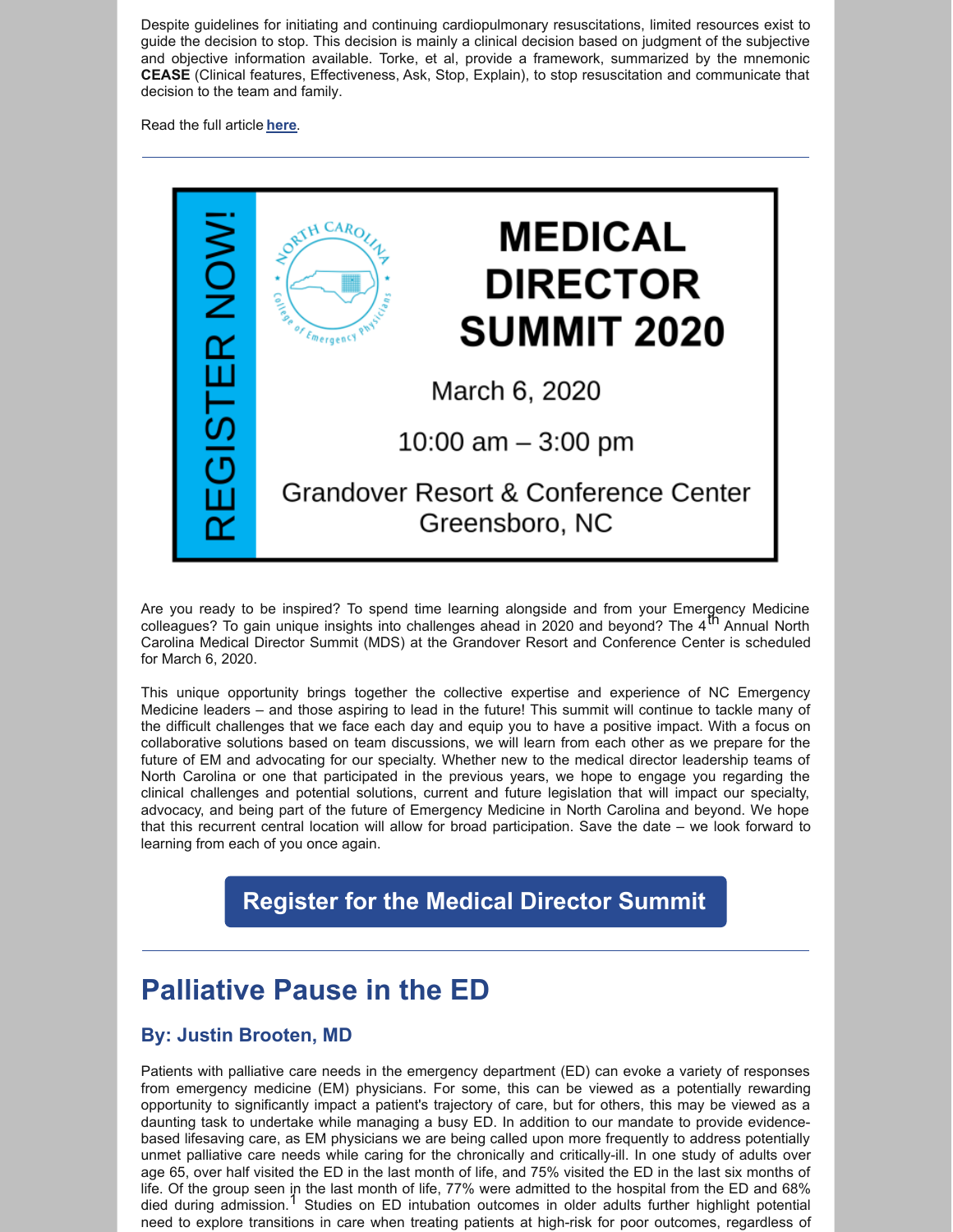Despite guidelines for initiating and continuing cardiopulmonary resuscitations, limited resources exist to guide the decision to stop. This decision is mainly a clinical decision based on judgment of the subjective and objective information available. Torke, et al, provide a framework, summarized by the mnemonic **CEASE** (Clinical features, Effectiveness, Ask, Stop, Explain), to stop resuscitation and communicate that decision to the team and family.

Read the full article **[here](https://nccep.org/wp-content/uploads/It-is-a-Tough-Call.pdf)**.

| <b>NOW!</b> | <b>MEDICAL</b><br>$CARO_{\ell}$<br><b>DIRECTOR</b><br>$\frac{c_1}{c_2}$<br><b>SUMMIT 2020</b> |
|-------------|-----------------------------------------------------------------------------------------------|
|             | March 6, 2020                                                                                 |
|             | 10:00 $am - 3:00$ pm                                                                          |
|             | Grandover Resort & Conference Center<br>Greensboro, NC                                        |

Are you ready to be inspired? To spend time learning alongside and from your Emergency Medicine colleagues? To gain unique insights into challenges ahead in 2020 and beyond? The 4<sup>th</sup> Annual North Carolina Medical Director Summit (MDS) at the Grandover Resort and Conference Center is scheduled for March 6, 2020.

This unique opportunity brings together the collective expertise and experience of NC Emergency Medicine leaders – and those aspiring to lead in the future! This summit will continue to tackle many of the difficult challenges that we face each day and equip you to have a positive impact. With a focus on collaborative solutions based on team discussions, we will learn from each other as we prepare for the future of EM and advocating for our specialty. Whether new to the medical director leadership teams of North Carolina or one that participated in the previous years, we hope to engage you regarding the clinical challenges and potential solutions, current and future legislation that will impact our specialty, advocacy, and being part of the future of Emergency Medicine in North Carolina and beyond. We hope that this recurrent central location will allow for broad participation. Save the date – we look forward to learning from each of you once again.

### **[Register](https://nccep.org/medical-director-summit/) for the Medical Director Summit**

# **Palliative Pause in the ED**

#### **By: Justin Brooten, MD**

Patients with palliative care needs in the emergency department (ED) can evoke a variety of responses from emergency medicine (EM) physicians. For some, this can be viewed as a potentially rewarding opportunity to significantly impact a patient's trajectory of care, but for others, this may be viewed as a daunting task to undertake while managing a busy ED. In addition to our mandate to provide evidencebased lifesaving care, as EM physicians we are being called upon more frequently to address potentially unmet palliative care needs while caring for the chronically and critically-ill. In one study of adults over age 65, over half visited the ED in the last month of life, and 75% visited the ED in the last six months of life. Of the group seen in the last month of life, 77% were admitted to the hospital from the ED and 68% died during admission.<sup>1</sup> Studies on ED intubation outcomes in older adults further highlight potential need to explore transitions in care when treating patients at high-risk for poor outcomes, regardless of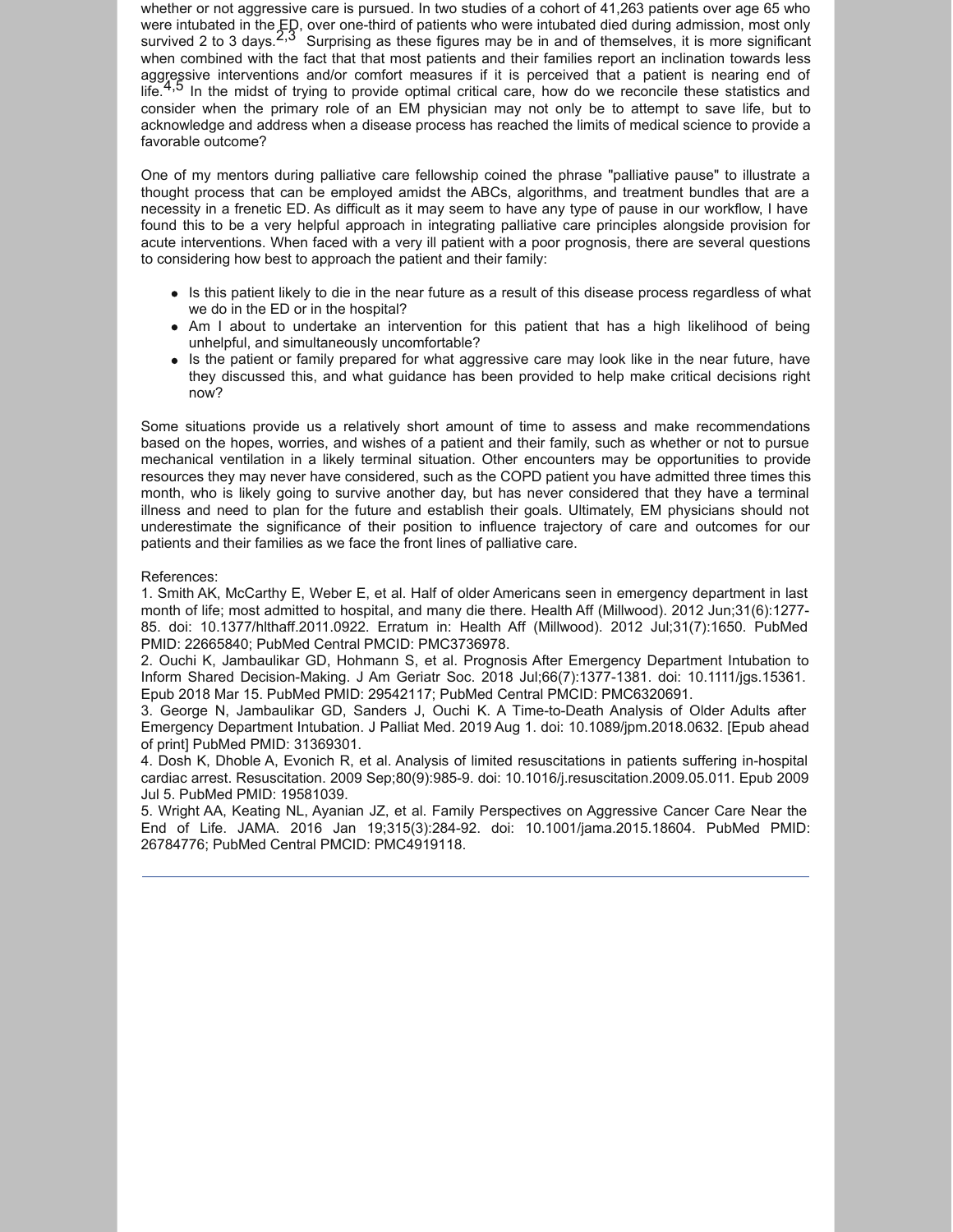whether or not aggressive care is pursued. In two studies of a cohort of 41,263 patients over age 65 who were intubated in the ED, over one-third of patients who were intubated died during admission, most only survived 2 to 3 days.  $2.3^\circ$  Surprising as these figures may be in and of themselves, it is more significant when combined with the fact that that most patients and their families report an inclination towards less aggressive interventions and/or comfort measures if it is perceived that a patient is nearing end of life.<sup>4,5</sup> In the midst of trying to provide optimal critical care, how do we reconcile these statistics and consider when the primary role of an EM physician may not only be to attempt to save life, but to acknowledge and address when a disease process has reached the limits of medical science to provide a favorable outcome?

One of my mentors during palliative care fellowship coined the phrase "palliative pause" to illustrate a thought process that can be employed amidst the ABCs, algorithms, and treatment bundles that are a necessity in a frenetic ED. As difficult as it may seem to have any type of pause in our workflow, I have found this to be a very helpful approach in integrating palliative care principles alongside provision for acute interventions. When faced with a very ill patient with a poor prognosis, there are several questions to considering how best to approach the patient and their family:

- Is this patient likely to die in the near future as a result of this disease process regardless of what we do in the ED or in the hospital?
- Am I about to undertake an intervention for this patient that has a high likelihood of being unhelpful, and simultaneously uncomfortable?
- Is the patient or family prepared for what aggressive care may look like in the near future, have they discussed this, and what guidance has been provided to help make critical decisions right now?

Some situations provide us a relatively short amount of time to assess and make recommendations based on the hopes, worries, and wishes of a patient and their family, such as whether or not to pursue mechanical ventilation in a likely terminal situation. Other encounters may be opportunities to provide resources they may never have considered, such as the COPD patient you have admitted three times this month, who is likely going to survive another day, but has never considered that they have a terminal illness and need to plan for the future and establish their goals. Ultimately, EM physicians should not underestimate the significance of their position to influence trajectory of care and outcomes for our patients and their families as we face the front lines of palliative care.

#### References:

1. Smith AK, McCarthy E, Weber E, et al. Half of older Americans seen in emergency department in last month of life; most admitted to hospital, and many die there. Health Aff (Millwood). 2012 Jun;31(6):1277- 85. doi: 10.1377/hlthaff.2011.0922. Erratum in: Health Aff (Millwood). 2012 Jul;31(7):1650. PubMed PMID: 22665840; PubMed Central PMCID: PMC3736978.

2. Ouchi K, Jambaulikar GD, Hohmann S, et al. Prognosis After Emergency Department Intubation to Inform Shared Decision-Making. J Am Geriatr Soc. 2018 Jul;66(7):1377-1381. doi: 10.1111/jgs.15361. Epub 2018 Mar 15. PubMed PMID: 29542117; PubMed Central PMCID: PMC6320691.

3. George N, Jambaulikar GD, Sanders J, Ouchi K. A Time-to-Death Analysis of Older Adults after Emergency Department Intubation. J Palliat Med. 2019 Aug 1. doi: 10.1089/jpm.2018.0632. [Epub ahead of print] PubMed PMID: 31369301.

4. Dosh K, Dhoble A, Evonich R, et al. Analysis of limited resuscitations in patients suffering in-hospital cardiac arrest. Resuscitation. 2009 Sep;80(9):985-9. doi: 10.1016/j.resuscitation.2009.05.011. Epub 2009 Jul 5. PubMed PMID: 19581039.

5. Wright AA, Keating NL, Ayanian JZ, et al. Family Perspectives on Aggressive Cancer Care Near the End of Life. JAMA. 2016 Jan 19;315(3):284-92. doi: 10.1001/jama.2015.18604. PubMed PMID: 26784776; PubMed Central PMCID: PMC4919118.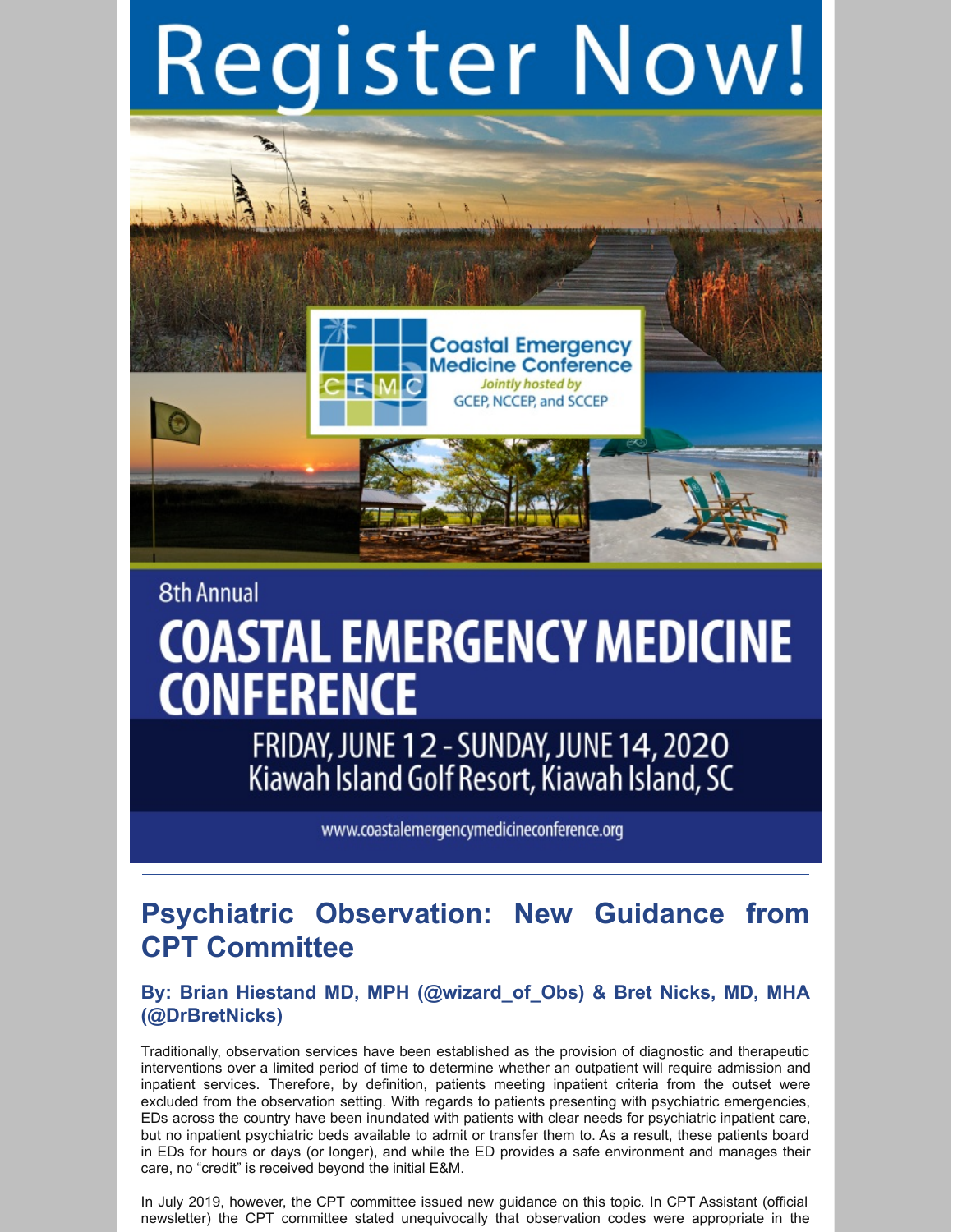# Register Now!



# **8th Annual COASTAL EMERGENCY MEDICINE CONFERENCE**

FRIDAY, JUNE 12 - SUNDAY, JUNE 14, 2020<br>Kiawah Island Golf Resort, Kiawah Island, SC

www.coastalemergencymedicineconference.org

# **Psychiatric Observation: New Guidance from CPT Committee**

#### **By: Brian Hiestand MD, MPH (@wizard\_of\_Obs) & Bret Nicks, MD, MHA (@DrBretNicks)**

Traditionally, observation services have been established as the provision of diagnostic and therapeutic interventions over a limited period of time to determine whether an outpatient will require admission and inpatient services. Therefore, by definition, patients meeting inpatient criteria from the outset were excluded from the observation setting. With regards to patients presenting with psychiatric emergencies, EDs across the country have been inundated with patients with clear needs for psychiatric inpatient care, but no inpatient psychiatric beds available to admit or transfer them to. As a result, these patients board in EDs for hours or days (or longer), and while the ED provides a safe environment and manages their care, no "credit" is received beyond the initial E&M.

In July 2019, however, the CPT committee issued new guidance on this topic. In CPT Assistant (official newsletter) the CPT committee stated unequivocally that observation codes were appropriate in the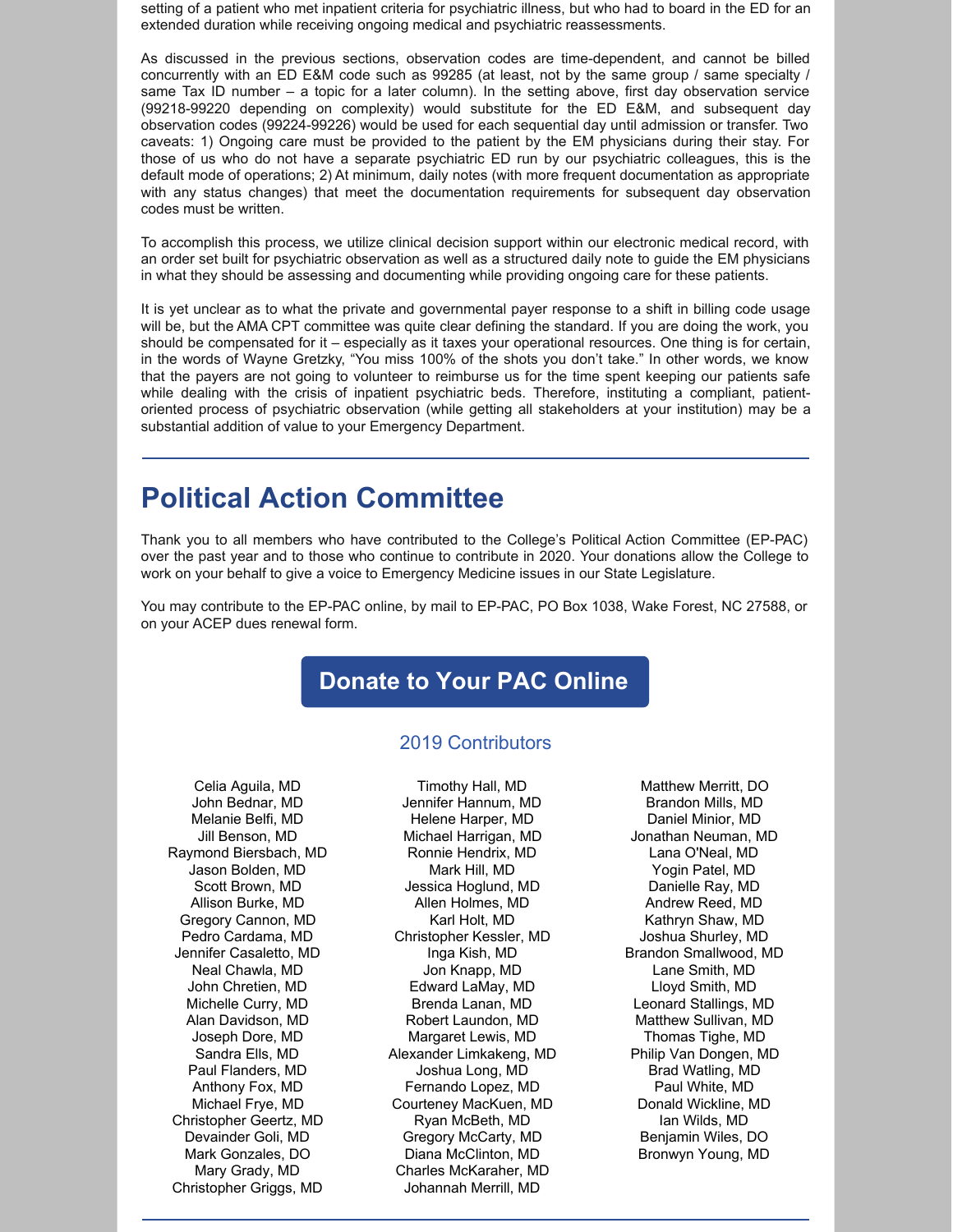setting of a patient who met inpatient criteria for psychiatric illness, but who had to board in the ED for an extended duration while receiving ongoing medical and psychiatric reassessments.

As discussed in the previous sections, observation codes are time-dependent, and cannot be billed concurrently with an ED E&M code such as 99285 (at least, not by the same group / same specialty / same Tax ID number – a topic for a later column). In the setting above, first day observation service (99218-99220 depending on complexity) would substitute for the ED E&M, and subsequent day observation codes (99224-99226) would be used for each sequential day until admission or transfer. Two caveats: 1) Ongoing care must be provided to the patient by the EM physicians during their stay. For those of us who do not have a separate psychiatric ED run by our psychiatric colleagues, this is the default mode of operations; 2) At minimum, daily notes (with more frequent documentation as appropriate with any status changes) that meet the documentation requirements for subsequent day observation codes must be written.

To accomplish this process, we utilize clinical decision support within our electronic medical record, with an order set built for psychiatric observation as well as a structured daily note to guide the EM physicians in what they should be assessing and documenting while providing ongoing care for these patients.

It is yet unclear as to what the private and governmental payer response to a shift in billing code usage will be, but the AMA CPT committee was quite clear defining the standard. If you are doing the work, you should be compensated for it – especially as it taxes your operational resources. One thing is for certain, in the words of Wayne Gretzky, "You miss 100% of the shots you don't take." In other words, we know that the payers are not going to volunteer to reimburse us for the time spent keeping our patients safe while dealing with the crisis of inpatient psychiatric beds. Therefore, instituting a compliant, patientoriented process of psychiatric observation (while getting all stakeholders at your institution) may be a substantial addition of value to your Emergency Department.

# **Political Action Committee**

Thank you to all members who have contributed to the College's Political Action Committee (EP-PAC) over the past year and to those who continue to contribute in 2020. Your donations allow the College to work on your behalf to give a voice to Emergency Medicine issues in our State Legislature.

You may contribute to the EP-PAC online, by mail to EP-PAC, PO Box 1038, Wake Forest, NC 27588, or on your ACEP dues renewal form.

## **[Donate](https://nccep.org/pac/) to Your PAC Online**

#### 2019 Contributors

Celia Aguila, MD John Bednar, MD Melanie Belfi, MD Jill Benson, MD Raymond Biersbach, MD Jason Bolden, MD Scott Brown, MD Allison Burke, MD Gregory Cannon, MD Pedro Cardama, MD Jennifer Casaletto, MD Neal Chawla, MD John Chretien, MD Michelle Curry, MD Alan Davidson, MD Joseph Dore, MD Sandra Ells, MD Paul Flanders, MD Anthony Fox, MD Michael Frye, MD Christopher Geertz, MD Devainder Goli, MD Mark Gonzales, DO Mary Grady, MD Christopher Griggs, MD

Timothy Hall, MD Jennifer Hannum, MD Helene Harper, MD Michael Harrigan, MD Ronnie Hendrix, MD Mark Hill, MD Jessica Hoglund, MD Allen Holmes, MD Karl Holt, MD Christopher Kessler, MD Inga Kish, MD Jon Knapp, MD Edward LaMay, MD Brenda Lanan, MD Robert Laundon, MD Margaret Lewis, MD Alexander Limkakeng, MD Joshua Long, MD Fernando Lopez, MD Courteney MacKuen, MD Ryan McBeth, MD Gregory McCarty, MD Diana McClinton, MD Charles McKaraher, MD Johannah Merrill, MD

Matthew Merritt, DO Brandon Mills, MD Daniel Minior, MD Jonathan Neuman, MD Lana O'Neal, MD Yogin Patel, MD Danielle Ray, MD Andrew Reed, MD Kathryn Shaw, MD Joshua Shurley, MD Brandon Smallwood, MD Lane Smith, MD Lloyd Smith, MD Leonard Stallings, MD Matthew Sullivan, MD Thomas Tighe, MD Philip Van Dongen, MD Brad Watling, MD Paul White, MD Donald Wickline, MD Ian Wilds, MD Benjamin Wiles, DO Bronwyn Young, MD